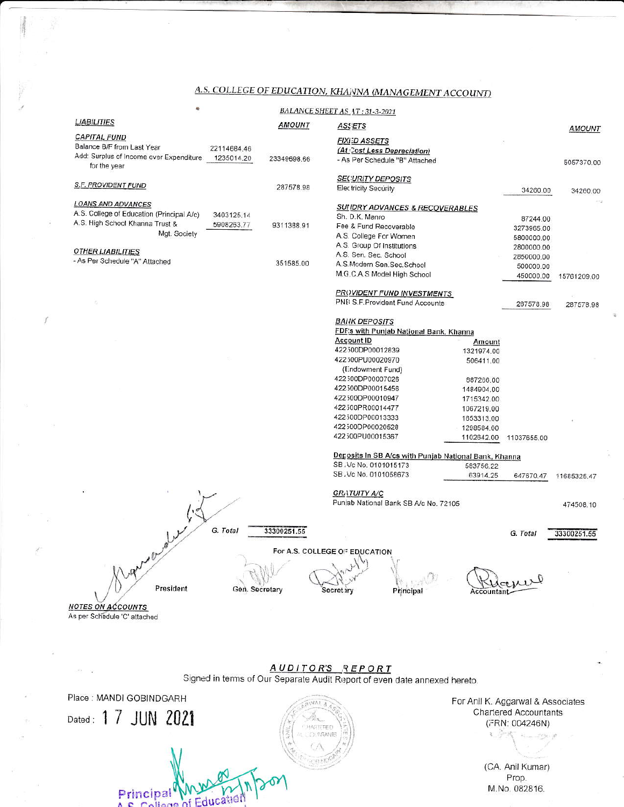## A.S. COLLEGE OF EDUCATION, KHANNA (MANAGEMENT ACCOUNT)

| ê.<br>BALANCE SHEET AS_4T: 31-3-2021                                                          |               |                                                               |                         |             |             |  |  |  |  |
|-----------------------------------------------------------------------------------------------|---------------|---------------------------------------------------------------|-------------------------|-------------|-------------|--|--|--|--|
| <b>LIABILITIES</b>                                                                            | <b>AMOUNT</b> | <b>ASSETS</b>                                                 |                         |             | AMOUNT      |  |  |  |  |
| <b>CAPITAL FUND</b>                                                                           |               |                                                               |                         |             |             |  |  |  |  |
| Balance B/F from Last Year<br>22114684.46                                                     |               | <b>FIXI:D ASSETS</b>                                          |                         |             |             |  |  |  |  |
| Add: Surplus of Income over Expenditure<br>1235014.20<br>23349698.66                          |               | (At Cost Less Depreciation)<br>- As Per Schedule "B" Attached |                         |             |             |  |  |  |  |
| for the year                                                                                  |               |                                                               |                         |             | 5057370.00  |  |  |  |  |
|                                                                                               |               | <b>SECURITY DEPOSITS</b>                                      |                         |             |             |  |  |  |  |
| S.F. PROVIDENT FUND                                                                           | 287578.98     | Electricity Security                                          |                         | 34260.00    | 34260.00    |  |  |  |  |
|                                                                                               |               |                                                               |                         |             |             |  |  |  |  |
| <b>LOANS AND ADVANCES</b>                                                                     |               | <b>SUIIDRY ADVANCES &amp; RECOVERABLES</b>                    |                         |             |             |  |  |  |  |
| A.S. College of Education (Principal A/c)<br>3403125.14<br>A.S. High School Khanna Trust &    |               | Sh. D.K. Manro                                                |                         | 87244.00    |             |  |  |  |  |
| 5908263.77<br>9311388.91<br>Mgt. Society                                                      |               | Fee & Fund Recoverable                                        |                         | 3273965.00  |             |  |  |  |  |
|                                                                                               |               | A.S. College For Women                                        |                         | 5800000.00  |             |  |  |  |  |
| <b>OTHER LIABILITIES</b>                                                                      |               | A.S. Group Of Institutions                                    |                         | 2800000.00  |             |  |  |  |  |
| - As Per Schedule "A" Attached                                                                | 351585.00     | A.S. Sen. Sec. School<br>A.S.Modern Sen.Sec.School            |                         | 2850000.00  |             |  |  |  |  |
|                                                                                               |               | M.G.C.A.S Model High School                                   |                         | 500000.00   |             |  |  |  |  |
|                                                                                               |               |                                                               |                         | 450000.00   | 15761209.00 |  |  |  |  |
|                                                                                               |               | <b>PROVIDENT FUND INVESTMENTS</b>                             |                         |             |             |  |  |  |  |
|                                                                                               |               | PNE S.F. Provident Fund Accounts                              |                         | 287578.98   | 287578.98   |  |  |  |  |
|                                                                                               |               |                                                               |                         |             |             |  |  |  |  |
|                                                                                               |               | <b>BAIIK DEPOSITS</b>                                         |                         |             |             |  |  |  |  |
|                                                                                               |               | FDF's with Punjab National Bank, Khanna                       |                         |             |             |  |  |  |  |
|                                                                                               |               | <b>Account ID</b>                                             | Amount                  |             |             |  |  |  |  |
|                                                                                               |               | 422300DP00012839                                              | 1321974.00              |             |             |  |  |  |  |
|                                                                                               |               | 422500PU00020970<br>(Endowment Fund)                          | 506411.00               |             |             |  |  |  |  |
|                                                                                               |               | 422300DP00007026                                              |                         |             |             |  |  |  |  |
|                                                                                               |               | 422300DP00015456                                              | 887266.00<br>1484904.00 |             |             |  |  |  |  |
|                                                                                               |               | 422300DP00010947                                              | 1715342.00              |             |             |  |  |  |  |
|                                                                                               |               | 422500PR00014477                                              | 1067219.00              |             |             |  |  |  |  |
|                                                                                               |               | 422300DP00013333                                              | 1653313.00              |             |             |  |  |  |  |
|                                                                                               |               | 422500DP00020528                                              | 1298584.00              |             |             |  |  |  |  |
|                                                                                               |               | 422300PU00015367                                              | 1102642.00              | 11037655.00 |             |  |  |  |  |
|                                                                                               |               |                                                               |                         |             |             |  |  |  |  |
|                                                                                               |               | Deposits In SB A/cs with Punjab National Bank, Khanna         |                         |             |             |  |  |  |  |
|                                                                                               |               | SB, Vc No. 0101015173<br>SB. Vc No. 0101058673                | 583756.22               |             |             |  |  |  |  |
|                                                                                               |               |                                                               | 63914.25                | 647670.47   | 11685325.47 |  |  |  |  |
|                                                                                               |               | <b>GRATUITY A/C</b>                                           |                         |             |             |  |  |  |  |
|                                                                                               |               | Puniab National Bank SB A/c No. 72105                         |                         |             | 474508.10   |  |  |  |  |
|                                                                                               |               |                                                               |                         |             |             |  |  |  |  |
|                                                                                               |               |                                                               |                         |             |             |  |  |  |  |
| G. Total<br>33300251.55                                                                       |               |                                                               |                         | G. Total    | 33300251.55 |  |  |  |  |
| worder.                                                                                       |               |                                                               |                         |             |             |  |  |  |  |
|                                                                                               |               | For A.S. COLLEGE OF EDUCATION                                 |                         |             |             |  |  |  |  |
|                                                                                               |               | W                                                             |                         |             |             |  |  |  |  |
|                                                                                               |               |                                                               |                         |             |             |  |  |  |  |
| President<br>Gen. Secretary                                                                   |               | Secretiry<br>Principal                                        | Accountai               |             |             |  |  |  |  |
|                                                                                               |               |                                                               |                         |             |             |  |  |  |  |
| <b>NOTES ON ACCOUNTS</b>                                                                      |               |                                                               |                         |             |             |  |  |  |  |
| As per Schedule 'C' attached                                                                  |               |                                                               |                         |             |             |  |  |  |  |
|                                                                                               |               |                                                               |                         |             |             |  |  |  |  |
|                                                                                               |               |                                                               |                         |             |             |  |  |  |  |
|                                                                                               |               |                                                               |                         |             |             |  |  |  |  |
|                                                                                               |               |                                                               |                         |             |             |  |  |  |  |
| AUDITOR'S REPORT<br>Signed in terms of Our Separate Audit Report of even date annexed hereto. |               |                                                               |                         |             |             |  |  |  |  |
|                                                                                               |               |                                                               |                         |             |             |  |  |  |  |

Place: MANDI GOBINDGARH **WAT A** Dated: 1 7 JUN 2021 HARTERED **DEPARATE** 

Principal WWW.

 $\vec{r}$ 

For Anil K. Aggarwal & Associates Chartered Accountants (FRN: 004246N)  $\mathbb{E} \mathcal{F} \mathbb{R}$  and  $\mathbb{E} \mathbb{R}$ 

> (CA. Anil Kumar) Prop. M.No. 082816.